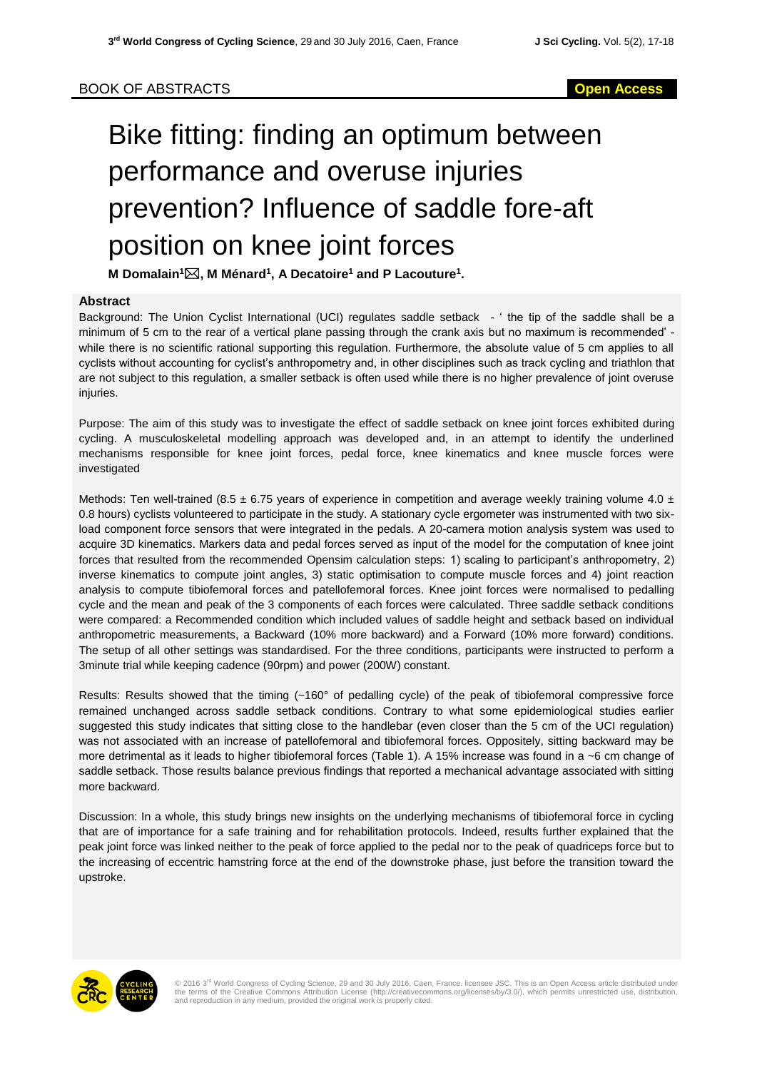# Bike fitting: finding an optimum between performance and overuse injuries prevention? Influence of saddle fore-aft position on knee joint forces

**M Domalain<sup>1</sup>, M Ménard<sup>1</sup> , A Decatoire<sup>1</sup> and P Lacouture<sup>1</sup> .**

## **Abstract**

Background: The Union Cyclist International (UCI) regulates saddle setback - ' the tip of the saddle shall be a minimum of 5 cm to the rear of a vertical plane passing through the crank axis but no maximum is recommended' while there is no scientific rational supporting this regulation. Furthermore, the absolute value of 5 cm applies to all cyclists without accounting for cyclist's anthropometry and, in other disciplines such as track cycling and triathlon that are not subject to this regulation, a smaller setback is often used while there is no higher prevalence of joint overuse injuries.

Purpose: The aim of this study was to investigate the effect of saddle setback on knee joint forces exhibited during cycling. A musculoskeletal modelling approach was developed and, in an attempt to identify the underlined mechanisms responsible for knee joint forces, pedal force, knee kinematics and knee muscle forces were investigated

Methods: Ten well-trained (8.5  $\pm$  6.75 years of experience in competition and average weekly training volume 4.0  $\pm$ 0.8 hours) cyclists volunteered to participate in the study. A stationary cycle ergometer was instrumented with two sixload component force sensors that were integrated in the pedals. A 20-camera motion analysis system was used to acquire 3D kinematics. Markers data and pedal forces served as input of the model for the computation of knee joint forces that resulted from the recommended Opensim calculation steps: 1) scaling to participant's anthropometry, 2) inverse kinematics to compute joint angles, 3) static optimisation to compute muscle forces and 4) joint reaction analysis to compute tibiofemoral forces and patellofemoral forces. Knee joint forces were normalised to pedalling cycle and the mean and peak of the 3 components of each forces were calculated. Three saddle setback conditions were compared: a Recommended condition which included values of saddle height and setback based on individual anthropometric measurements, a Backward (10% more backward) and a Forward (10% more forward) conditions. The setup of all other settings was standardised. For the three conditions, participants were instructed to perform a 3minute trial while keeping cadence (90rpm) and power (200W) constant.

Results: Results showed that the timing (~160° of pedalling cycle) of the peak of tibiofemoral compressive force remained unchanged across saddle setback conditions. Contrary to what some epidemiological studies earlier suggested this study indicates that sitting close to the handlebar (even closer than the 5 cm of the UCI regulation) was not associated with an increase of patellofemoral and tibiofemoral forces. Oppositely, sitting backward may be more detrimental as it leads to higher tibiofemoral forces (Table 1). A 15% increase was found in a ~6 cm change of saddle setback. Those results balance previous findings that reported a mechanical advantage associated with sitting more backward.

Discussion: In a whole, this study brings new insights on the underlying mechanisms of tibiofemoral force in cycling that are of importance for a safe training and for rehabilitation protocols. Indeed, results further explained that the peak joint force was linked neither to the peak of force applied to the pedal nor to the peak of quadriceps force but to the increasing of eccentric hamstring force at the end of the downstroke phase, just before the transition toward the upstroke.



© 2016 3<sup>rd</sup> World Congress of Cycling Science, 29 and 30 July 2016, Caen, France. licensee JSC. This is an Open Access article distributed under<br>the terms of the Creative Commons Attribution License (http://creativecommon and reproduction in any medium, provided the original work is properly cited.